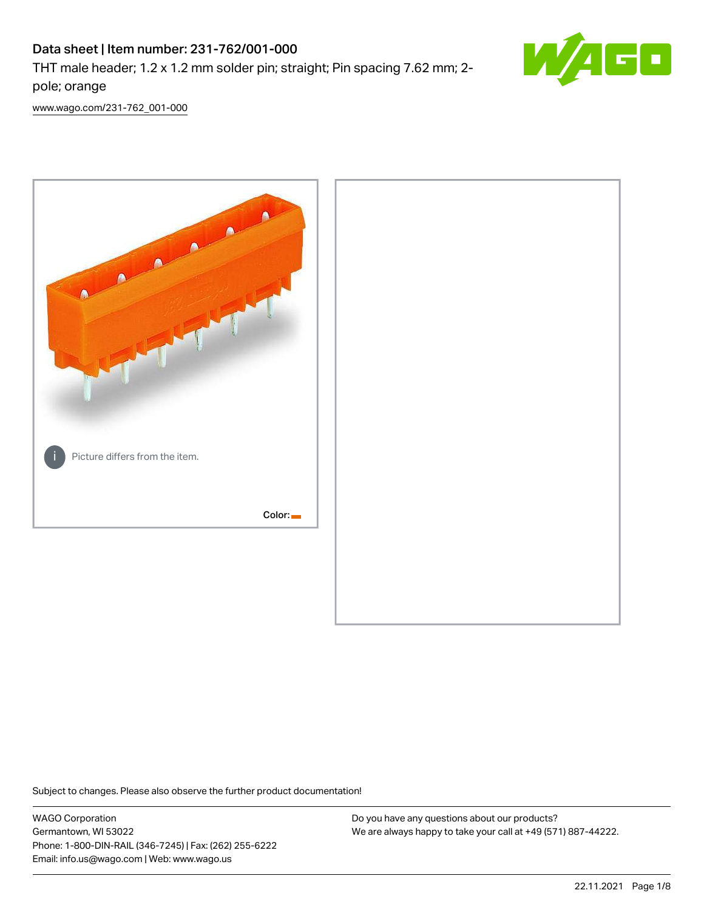# Data sheet | Item number: 231-762/001-000

THT male header; 1.2 x 1.2 mm solder pin; straight; Pin spacing 7.62 mm; 2 pole; orange



[www.wago.com/231-762\\_001-000](http://www.wago.com/231-762_001-000)



Subject to changes. Please also observe the further product documentation!

WAGO Corporation Germantown, WI 53022 Phone: 1-800-DIN-RAIL (346-7245) | Fax: (262) 255-6222 Email: info.us@wago.com | Web: www.wago.us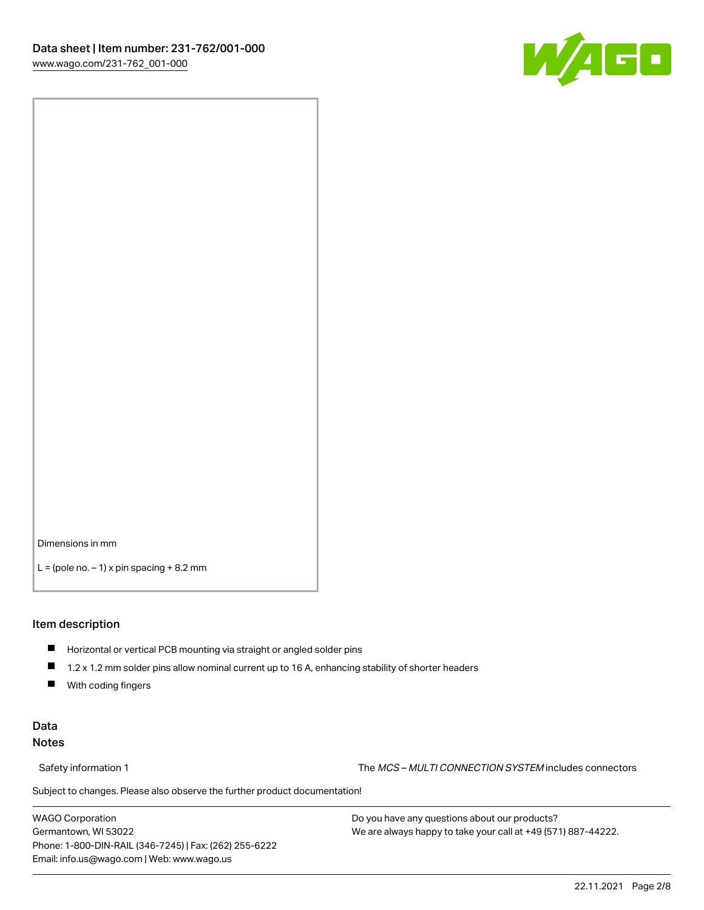

Dimensions in mm

 $L =$  (pole no.  $-1$ ) x pin spacing  $+8.2$  mm

#### Item description

- **Horizontal or vertical PCB mounting via straight or angled solder pins**
- 1.2 x 1.2 mm solder pins allow nominal current up to 16 A, enhancing stability of shorter headers
- $\blacksquare$ With coding fingers

# Data Notes

Safety information 1 The MCS – MULTI CONNECTION SYSTEM includes connectors

Subject to changes. Please also observe the further product documentation!  $\nu$ 

WAGO Corporation Germantown, WI 53022 Phone: 1-800-DIN-RAIL (346-7245) | Fax: (262) 255-6222 Email: info.us@wago.com | Web: www.wago.us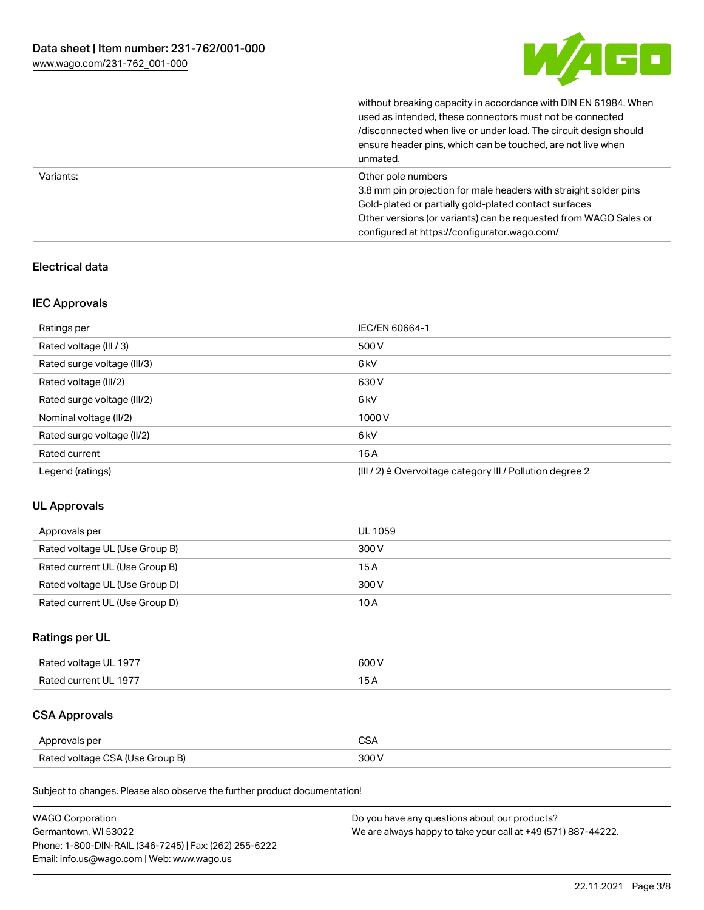

without breaking capacity in accordance with DIN EN 61984. When

|           | used as intended, these connectors must not be connected<br>/disconnected when live or under load. The circuit design should<br>ensure header pins, which can be touched, are not live when<br>unmated.                                                             |
|-----------|---------------------------------------------------------------------------------------------------------------------------------------------------------------------------------------------------------------------------------------------------------------------|
| Variants: | Other pole numbers<br>3.8 mm pin projection for male headers with straight solder pins<br>Gold-plated or partially gold-plated contact surfaces<br>Other versions (or variants) can be requested from WAGO Sales or<br>configured at https://configurator.wago.com/ |

# Electrical data

# IEC Approvals

| Ratings per                 | IEC/EN 60664-1                                                        |
|-----------------------------|-----------------------------------------------------------------------|
| Rated voltage (III / 3)     | 500 V                                                                 |
| Rated surge voltage (III/3) | 6 <sub>kV</sub>                                                       |
| Rated voltage (III/2)       | 630 V                                                                 |
| Rated surge voltage (III/2) | 6 <sub>kV</sub>                                                       |
| Nominal voltage (II/2)      | 1000V                                                                 |
| Rated surge voltage (II/2)  | 6 <sub>kV</sub>                                                       |
| Rated current               | 16A                                                                   |
| Legend (ratings)            | $(III / 2)$ $\triangle$ Overvoltage category III / Pollution degree 2 |

# UL Approvals

| Approvals per                  | UL 1059 |
|--------------------------------|---------|
| Rated voltage UL (Use Group B) | 300 V   |
| Rated current UL (Use Group B) | 15 A    |
| Rated voltage UL (Use Group D) | 300 V   |
| Rated current UL (Use Group D) | 10 A    |

# Ratings per UL

| Rated voltage UL 1977 | 600 V |
|-----------------------|-------|
| Rated current UL 1977 |       |

# CSA Approvals

| Approvals per                   | ~~    |
|---------------------------------|-------|
| Rated voltage CSA (Use Group B) | 3UU 1 |

Subject to changes. Please also observe the further product documentation!

| <b>WAGO Corporation</b>                                | Do you have any questions about our products?                 |
|--------------------------------------------------------|---------------------------------------------------------------|
| Germantown, WI 53022                                   | We are always happy to take your call at +49 (571) 887-44222. |
| Phone: 1-800-DIN-RAIL (346-7245)   Fax: (262) 255-6222 |                                                               |
| Email: info.us@wago.com   Web: www.wago.us             |                                                               |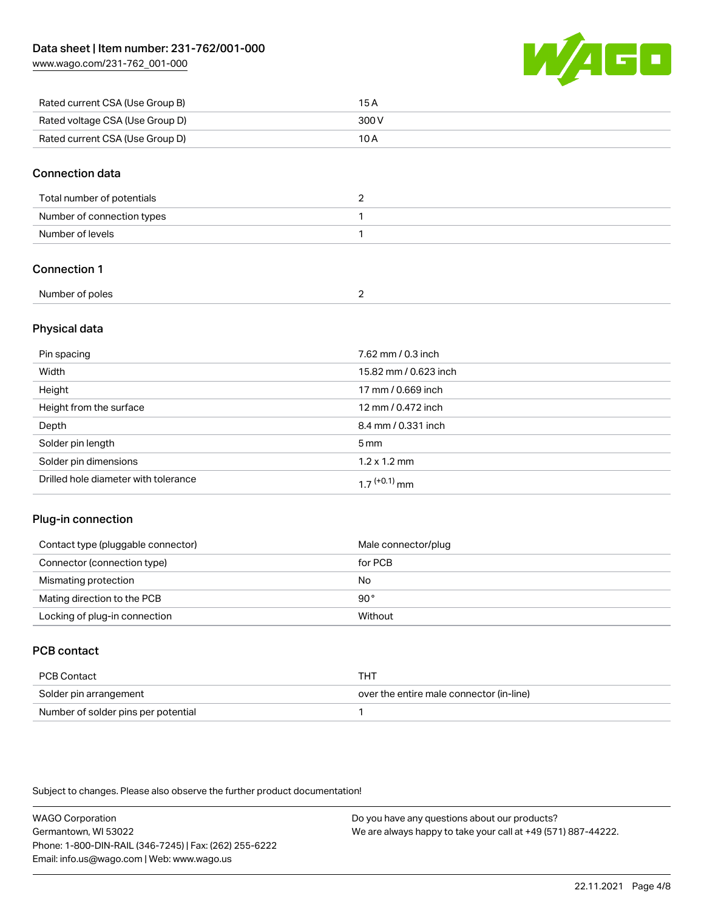[www.wago.com/231-762\\_001-000](http://www.wago.com/231-762_001-000)



| Rated current CSA (Use Group B) | 15 A  |
|---------------------------------|-------|
| Rated voltage CSA (Use Group D) | 300 V |
| Rated current CSA (Use Group D) | 10 A  |

# Connection data

| Total number of potentials |  |
|----------------------------|--|
| Number of connection types |  |
| Number of levels           |  |

# Connection 1

| Number of poles |  |
|-----------------|--|

# Physical data

| Pin spacing                          | 7.62 mm / 0.3 inch    |
|--------------------------------------|-----------------------|
| Width                                | 15.82 mm / 0.623 inch |
| Height                               | 17 mm / 0.669 inch    |
| Height from the surface              | 12 mm / 0.472 inch    |
| Depth                                | 8.4 mm / 0.331 inch   |
| Solder pin length                    | $5 \,\mathrm{mm}$     |
| Solder pin dimensions                | $1.2 \times 1.2$ mm   |
| Drilled hole diameter with tolerance | $17^{(+0.1)}$ mm      |

# Plug-in connection

| Contact type (pluggable connector) | Male connector/plug |
|------------------------------------|---------------------|
| Connector (connection type)        | for PCB             |
| Mismating protection               | No                  |
| Mating direction to the PCB        | $90^{\circ}$        |
| Locking of plug-in connection      | Without             |

# PCB contact

| PCB Contact                         | тнт                                      |
|-------------------------------------|------------------------------------------|
| Solder pin arrangement              | over the entire male connector (in-line) |
| Number of solder pins per potential |                                          |

Subject to changes. Please also observe the further product documentation!

WAGO Corporation Germantown, WI 53022 Phone: 1-800-DIN-RAIL (346-7245) | Fax: (262) 255-6222 Email: info.us@wago.com | Web: www.wago.us Do you have any questions about our products? We are always happy to take your call at +49 (571) 887-44222.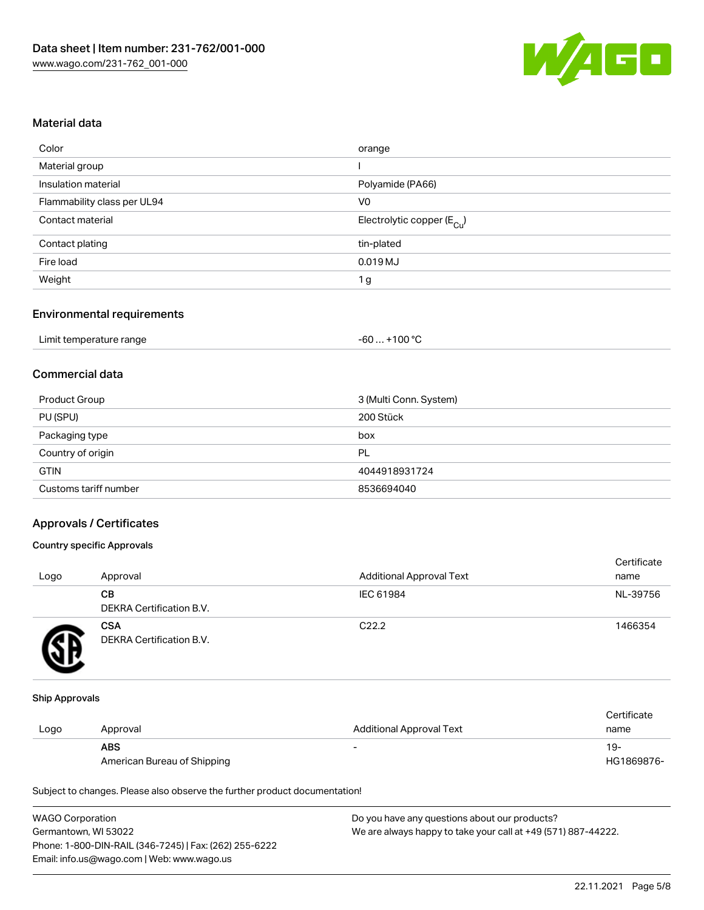

# Material data

| Color                       | orange                                 |
|-----------------------------|----------------------------------------|
| Material group              |                                        |
| Insulation material         | Polyamide (PA66)                       |
| Flammability class per UL94 | V0                                     |
| Contact material            | Electrolytic copper (E <sub>Cu</sub> ) |
| Contact plating             | tin-plated                             |
| Fire load                   | 0.019 MJ                               |
| Weight                      | 1 g                                    |
|                             |                                        |

#### Environmental requirements

| Limit temperature range | . +100 °C<br>-60 |
|-------------------------|------------------|
|-------------------------|------------------|

# Commercial data

| Product Group         | 3 (Multi Conn. System) |
|-----------------------|------------------------|
| PU (SPU)              | 200 Stück              |
| Packaging type        | box                    |
| Country of origin     | PL                     |
| <b>GTIN</b>           | 4044918931724          |
| Customs tariff number | 8536694040             |

#### Approvals / Certificates

#### Country specific Approvals

| Logo | Approval                               | <b>Additional Approval Text</b> | Certificate<br>name |
|------|----------------------------------------|---------------------------------|---------------------|
|      | CВ<br><b>DEKRA Certification B.V.</b>  | IEC 61984                       | NL-39756            |
|      | <b>CSA</b><br>DEKRA Certification B.V. | C <sub>22.2</sub>               | 1466354             |

#### Ship Approvals

|      |                             |                          | Certificate |
|------|-----------------------------|--------------------------|-------------|
| Logo | Approval                    | Additional Approval Text | name        |
|      | <b>ABS</b>                  |                          | 19-         |
|      | American Bureau of Shipping |                          | HG1869876-  |

Subject to changes. Please also observe the further product documentation!

| <b>WAGO Corporation</b>                                | Do you have any questions about our products?                 |
|--------------------------------------------------------|---------------------------------------------------------------|
| Germantown, WI 53022                                   | We are always happy to take your call at +49 (571) 887-44222. |
| Phone: 1-800-DIN-RAIL (346-7245)   Fax: (262) 255-6222 |                                                               |
| Email: info.us@wago.com   Web: www.wago.us             |                                                               |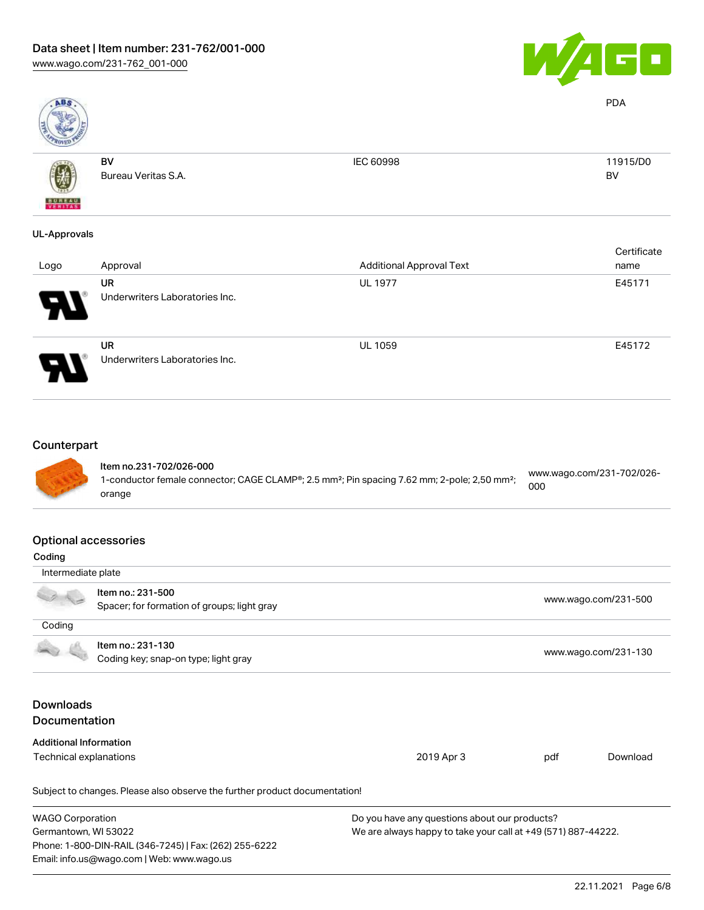

PDA

BV



BV

Bureau Veritas S.A.

IEC 60998 11915/D0

# UL-Approvals

| Logo                       | Approval                                    | <b>Additional Approval Text</b> | Certificate<br>name |
|----------------------------|---------------------------------------------|---------------------------------|---------------------|
| $\boldsymbol{\theta}$      | UR<br>Underwriters Laboratories Inc.        | <b>UL 1977</b>                  | E45171              |
| $\boldsymbol{\mathcal{A}}$ | <b>UR</b><br>Underwriters Laboratories Inc. | <b>UL 1059</b>                  | E45172              |

# **Counterpart**



#### Item no.231-702/026-000 1-conductor female connector; CAGE CLAMP®; 2.5 mm²; Pin spacing 7.62 mm; 2-pole; 2,50 mm²; orange [www.wago.com/231-702/026-](https://www.wago.com/231-702/026-000) [000](https://www.wago.com/231-702/026-000)

### Optional accessories

| Coding                               |                                                                            |                                                               |                      |                      |
|--------------------------------------|----------------------------------------------------------------------------|---------------------------------------------------------------|----------------------|----------------------|
| Intermediate plate                   |                                                                            |                                                               |                      |                      |
|                                      | Item no.: 231-500                                                          |                                                               |                      |                      |
|                                      | Spacer; for formation of groups; light gray                                |                                                               |                      | www.wago.com/231-500 |
| Coding                               |                                                                            |                                                               |                      |                      |
|                                      | Item no.: 231-130                                                          |                                                               |                      |                      |
| Coding key; snap-on type; light gray |                                                                            |                                                               | www.wago.com/231-130 |                      |
|                                      |                                                                            |                                                               |                      |                      |
| Downloads                            |                                                                            |                                                               |                      |                      |
| <b>Documentation</b>                 |                                                                            |                                                               |                      |                      |
| <b>Additional Information</b>        |                                                                            |                                                               |                      |                      |
| Technical explanations               |                                                                            | 2019 Apr 3                                                    | pdf                  | Download             |
|                                      | Subject to changes. Please also observe the further product documentation! |                                                               |                      |                      |
| <b>WAGO Corporation</b>              |                                                                            | Do you have any questions about our products?                 |                      |                      |
| Germantown, WI 53022                 |                                                                            | We are always happy to take your call at +49 (571) 887-44222. |                      |                      |
|                                      | Phone: 1-800-DIN-RAIL (346-7245)   Fax: (262) 255-6222                     |                                                               |                      |                      |
|                                      | Email: info.us@wago.com   Web: www.wago.us                                 |                                                               |                      |                      |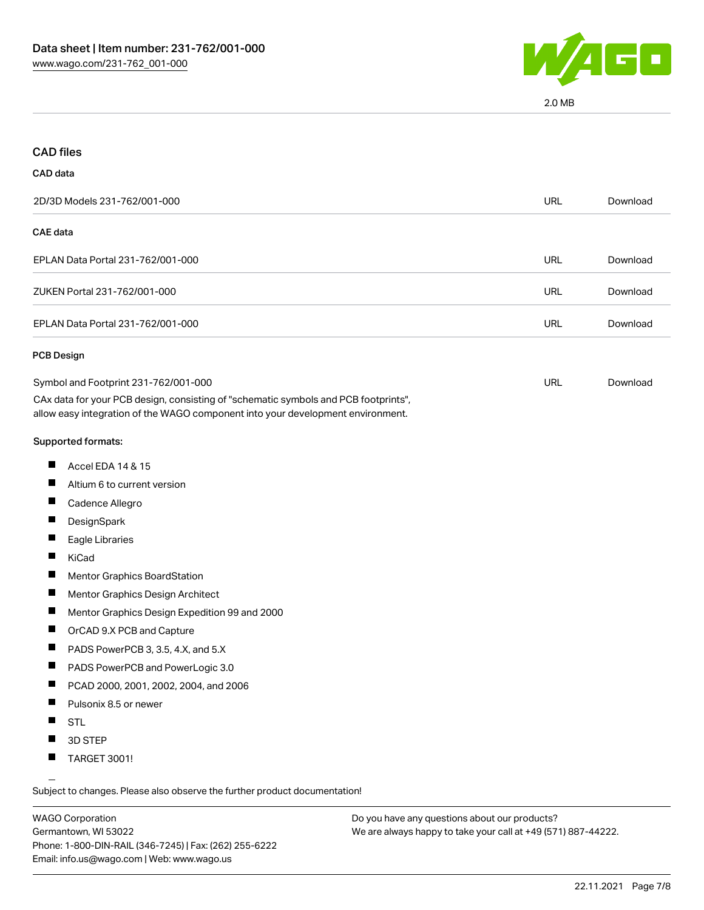

2.0 MB

| <b>CAD files</b>                                                                                                                                                       |            |          |
|------------------------------------------------------------------------------------------------------------------------------------------------------------------------|------------|----------|
| CAD data                                                                                                                                                               |            |          |
| 2D/3D Models 231-762/001-000                                                                                                                                           | <b>URL</b> | Download |
| <b>CAE</b> data                                                                                                                                                        |            |          |
| EPLAN Data Portal 231-762/001-000                                                                                                                                      | URL        | Download |
| ZUKEN Portal 231-762/001-000                                                                                                                                           | <b>URL</b> | Download |
| EPLAN Data Portal 231-762/001-000                                                                                                                                      | URL        | Download |
| PCB Design                                                                                                                                                             |            |          |
| Symbol and Footprint 231-762/001-000                                                                                                                                   | URL        | Download |
| CAx data for your PCB design, consisting of "schematic symbols and PCB footprints",<br>allow easy integration of the WAGO component into your development environment. |            |          |
| Supported formats:                                                                                                                                                     |            |          |
| ш<br>Accel EDA 14 & 15                                                                                                                                                 |            |          |
| ш<br>Altium 6 to current version                                                                                                                                       |            |          |
| Cadence Allegro                                                                                                                                                        |            |          |
| П<br>DesignSpark                                                                                                                                                       |            |          |
| ш<br>Eagle Libraries                                                                                                                                                   |            |          |
| KiCad                                                                                                                                                                  |            |          |
| $\blacksquare$<br>Mentor Graphics BoardStation                                                                                                                         |            |          |
| ш<br>Mentor Graphics Design Architect                                                                                                                                  |            |          |
| Mentor Graphics Design Expedition 99 and 2000                                                                                                                          |            |          |
| ш<br>OrCAD 9.X PCB and Capture                                                                                                                                         |            |          |
| ш<br>PADS PowerPCB 3, 3.5, 4.X, and 5.X                                                                                                                                |            |          |
| PADS PowerPCB and PowerLogic 3.0<br>ш                                                                                                                                  |            |          |
| PCAD 2000, 2001, 2002, 2004, and 2006                                                                                                                                  |            |          |
| Pulsonix 8.5 or newer<br>Ш                                                                                                                                             |            |          |
| ш<br><b>STL</b>                                                                                                                                                        |            |          |
| 3D STEP                                                                                                                                                                |            |          |
| <b>TARGET 3001!</b><br>ш                                                                                                                                               |            |          |

Subject to changes. Please also observe the further product documentation!

WAGO Corporation Germantown, WI 53022 Phone: 1-800-DIN-RAIL (346-7245) | Fax: (262) 255-6222 Email: info.us@wago.com | Web: www.wago.us